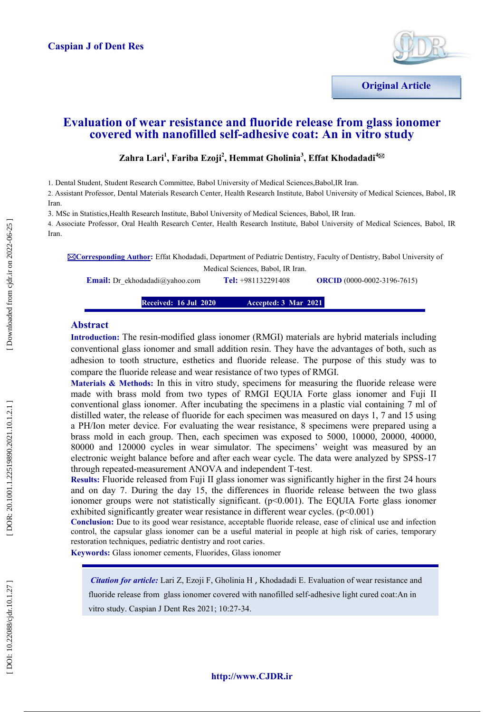

**Original Article**

## **Evaluation of wear resistance and fluoride release from glass ionomer covered with nanofilled self-adhesive coat: An in vitro study**

### $\mathbf{Z}$ ahra Lari<sup>1</sup>, Fariba Ezoji<sup>2</sup>, Hemmat Gholinia<sup>3</sup>, Effat Khodadadi<sup>4⊠</sup>

1. Dental Student, Student Research Committee, Babol University of Medical Sciences,Babol,IR Iran.

2. Assistant Professor, Dental Materials Research Center, Health Research Institute, Babol University of Medical Sciences, Babol, IR Iran .

3 . MSc in Statistics,Health Research Institute, Babol University of Medical Sciences, Babol, IR Iran.

4. Associate Professor, Oral Health Research Center, Health Research Institute, Babol University of Medical Sciences, Babol, IR Iran.

**Corresponding Author :** Effat Khodadadi, Department of Pediatric Dentistry, Faculty of Dentistry, Babol University of Medical Sciences, Babol, IR Iran.

**Email:** Dr\_ekhodadadi@yahoo.com **Tel:** +981132291408 **ORCID** (0000-0002-3196-7615)

> **Received: 16 Jul 2020 3 Mar 2021**

#### **Abstract**

**Introduction:** The resin -modified glass ionomer (RMGI) materials are hybrid materials including conventional glass ionomer and small addition resin. They have the advantages of both, such as adhesion to tooth structure, esthetics and fluoride release. The purpose of this study was to compare the fluoride release and wear resistance of two types of RMGI.

Materials & Methods: In this in vitro study, specimens for measuring the fluoride release were made with brass mold from two types of RMGI EQUIA Forte glass ionomer and Fuji II conventional glass ionomer. After incubating the specimens in a plastic vial containing 7 ml of distilled water, the release of fluoride for each specimen was measured on days 1, 7 and 15 using a PH/Ion meter device. For evaluating the wear resistance, 8 specimens were prepared using a brass mold in each group. Then, each specimen was exposed to 5000, 10000, 20000, 40000, 80000 and 120000 cycles in wear simulator. The specimens' weight was measured by an electronic weight balance before and after each wear cycle. The data were analyzed by SPSS -17 through repeated -measurement ANOVA and independent T -test.

**Results:** Fluoride released from Fuji II glass ionomer was significantly higher in the first 24 hours and on day 7. During the day 15, the differences in fluoride release between the two glass ionomer groups were not statistically significant. (p<0.001). The EQUIA Forte glass ionomer exhibited significantly greater wear resistance in different wear cycles.  $(p<0.001)$ 

**Conclusion:** Due to its good wear resistance, acceptable fluoride release, ease of clinical use and infection control, the capsular glass ionomer can be a useful material in people at high risk of caries, temporary restoration techniques, pediatric dentistry and root caries .

**Keywords:** Glass ionomer cements, [Fluorides](https://meshb.nlm.nih.gov/record/ui?name=Fluorides) , Glass ionomer

*Citation for article:* Lari Z, Ezoji F, Gholinia H , Khodadadi E. Evaluation of wear resistance and fluoride release from glass ionomer covered with nanofilled self-adhesive light cured coat:An in vitro study. Caspian J Dent Res 2021; 10:27 -34.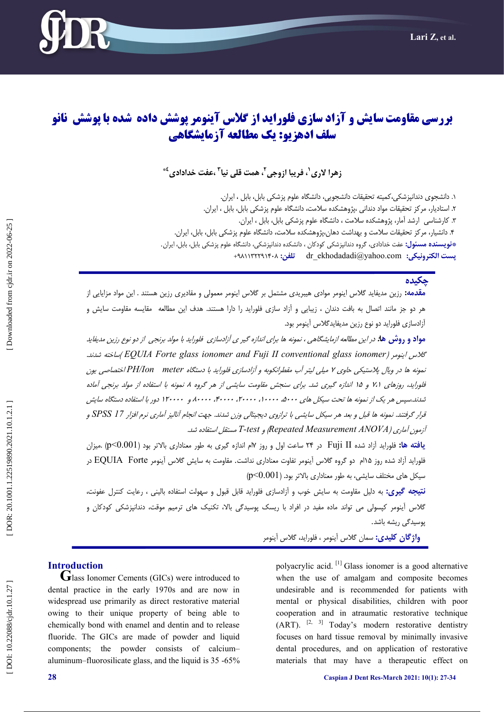

# **آزاد سازی فلوراید از گالس آینومر پوشش داده شده با پوشش نانو بررسی مقاومت سایش و سلف ادهسیو: یک مطالعه آزمایشگاهی**

# زهرا لاری <sup>י</sup>، فریبا ازوجی <sup>۲</sup>، همت قلی نیا <sup>۳</sup> ،عفت خدادادی <sup>٤</sup>\*

۱. دانشجوی دندانپزشکی،کمیته تحقیقات دانشجویی، دانشگاه علوم پزشکی بابل، بابل ، ایران. . ۲. استادیار، مرکز تحقیقات مواد دندانی ،پژوهشکده سلامت، دانشگاه علوم پزشکی بابل، بابل ، ایران. . ۳. کارشناسی ارشد امار، پژوهشکده سلامت ، دانشگاه علوم پزشکی بابل، بابل ، ایران. . ۴. دانشیار، مرکز تحقیقات سلامت و بهداشت دهان،پژوهشکده سلامت، دانشگاه علوم پزشکی بابل، بابل، ایران. . **پویسنده مسئول:** عفت خدادادی، گروه دندانپزشکی کودکان ، دانشکده دندانپزشکی، دانشگاه علوم پزشکی بابل، بابل، ایران.<br>**یست الکترونیکی: dr\_ekhodadadi**@yahoo.com

### **چکیدٌ**

**مقدمه:** رزین مدیفاید گلاس اینومر موادی هیبریدی مشتمل بر گلاس اینومر معمولی و مقادیری رزین هستند . این مواد مزایایی از هر دو جز مانند اتصال به بافت دندان ، زیبایی و ازاد سازی فلوراید را دارا هستند. هدف این مطالعه مقایسه مقاومت سایش و آ آزادسازی فلوراید دو نوع رزین مدیفایدگلاس آینومر بود.

مو**اد و روش ها:** در این مطالعه ازمایشگاهی ، نمونه ها برای اندازه گیر ی آزادسازی فلوراید با مولد برنجی از دو نوع رزین مدیفاید .ذًشذ ِساخت (*EQUIA Forte glass ionomer and Fuji II conventional glass ionomer*( هرٌَای گالس نمونه ها در ویال پلاستیکی حاوی ۲ میل*ی لیتر آب مقطرانکوبه و آزادسازی فلوراید با دستگاه PH/Ion meterاختصاصی یون* فلوراید، روزهای ۲،۱ و ۱۵ اندازه گیری شد. برای سنجش مقاومت سایشی از هر گروه ۸ نمونه با استفاده از مولد برنجی آماده شدند.سپس هر یک از نمونه ها تحت سیکل های ۱۰۰۰۰، ۲۰۰۰۰، ۲۰۰۰۰، ۴۰۰۰۰، و ۱۲۰۰۰۰ دور با استفاده دستگاه سایش قرار گرفتند. نمونه ها قبل و بعد هر سیکل سایشی با ترازوی دیجیتالی وزن شدند. جهت انجام آنالیز آماری نرم افزار SPSS I7 و هستقل استفادُ شذ. *T-test* ٍ )*Repeated Measurement ANOVA* آزهَى آهاری )

**یافته ها:** فلوراید آزاد شده Fuji II در ۲۴ ساعت اول و روز ۱۷م اندازه گیری به طور معناداری بالاتر بود (p<0.001) .میزان فلوراید آزاد شده روز ۱۵ام دو گروه گلاس آینومر تفاوت معناداری نداشت. مقاومت به سایش گلاس آینومر EQUIA Forte در<br>سیکل های مختلف سایشی، به طور معناداری بالاتر بود. (p<0.001)

ن**تیجه گیری:** به دلیل مقاومت به سایش خوب و ازادسازی فلوراید قابل قبول و سهولت استفاده بالینی ، رعایت کنترل عفونت، گلاس آینومر کپسولی می تواند ماده مفید در افراد با ریسک پوسیدگی بالا، تکنیک های ترمیم موقت، دندانپزشکی کودکان و<br>یوسیدگی ریشه باشد.

**ياژگبن كلیدی:** سواى گالس آیٌَهر ، فلَرایذ، گالس آیٌَهر

**Introduction**<br>**G**lass Ionomer Cements (GICs) were introduced to dental practice in the early 1970s and are now in widespread use primarily as direct restorative material owing to their unique property of being able to chemically bond with enamel and dentin and to release fluoride. The GICs are made of powder and liquid components; the powder consists of calcium– aluminum–fluorosilicate glass, and the liquid is 35 -65%

polyacrylic acid.<sup>[1]</sup> Glass ionomer is a good alternative when the use of amalgam and composite becomes undesirable and is recommended for patients with mental or physical disabilities, children with poor cooperation and in atraumatic restorative technique  $(ART)$ . <sup>[2, 3]</sup> Today's modern restorative dentistry focuses on hard tissue removal by minimally invasive dental procedures, and on application of restorative materials that may have a therapeutic effect on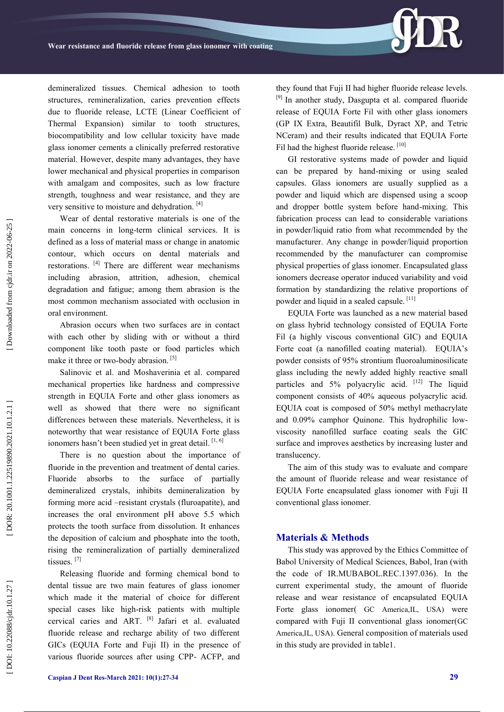demineralized tissues. Chemical adhesion to tooth structures, remineralization, caries prevention effects due to fluoride release, LCTE (Linear Coefficient of Thermal Expansion) similar to tooth structures, biocompatibility and low cellular toxicity have made glass ionomer cements a clinically preferred restorative material. However, despite many advantages, they have lower mechanical and physical properties in comparison with amalgam and composites, such as low fracture strength, toughness and wear resistance, and they are very sensitive to moisture and dehydration. [4]

Wear of dental restorative materials is one of the main concerns in long -term clinical services. It is defined as a loss of material mass or change in anatomic contour, which occurs on dental materials and restorations. [4] There are different wear mechanisms including abrasion, attrition, adhesion, chemical degradation and fatigue ; among them abrasion is the most common mechanism associated with occlusion in oral environment.

Abrasion occurs when two surfaces are in contact with each other by sliding with or without a third component like tooth paste or food particles which make it three or two-body abrasion.<sup>[5]</sup>

Salinovic et al. and Moshaverinia et al. compared mechanical properties like hardness and compressive strength in EQUIA Forte and other glass ionomers as well as showed that there were no significant differences between these materials. Nevertheless, it is noteworthy that wear resistance of EQUIA Forte glass ionomers hasn't been studied yet in great detail.<sup>[1, 6]</sup>

There is no question about the importance of fluoride in the prevention and treatment of dental caries. Fluoride absorbs to the surface of partially demineralized crystals, inhibits demineralization by forming more acid –resistant crystals (fluroapatite), and increases the oral environment pH above 5.5 which protects the tooth surface from dissolution. It enhances the deposition of calcium and phosphate into the tooth, rising the remineralization of partially demineralized tissues. [7]

Releasing fluoride and forming chemical bond to dental tissue are two main features of glass ionomer which made it the material of choice for different special cases like high-risk patients with multiple cervical caries and ART. [8] Jafari et al. evaluated fluoride release and recharge ability of two different GICs (EQUIA Forte and Fuji II) in the presence of various fluoride sources after using CPP - ACFP, and they found that Fuji II had higher fluoride release levels. [9] In another study, Dasgupta et al. compared fluoride release of EQUIA Forte Fil with other glass ionomers (GP IX Extra, Beautifil Bulk, Dyract XP, and Tetric NCeram) and their results indicated that EQUIA Forte Fil had the highest fluoride release. [10]

GI restorative systems made of powder and liquid can be prepared by hand -mixing or using sealed capsules. Glass ionomers are usually supplied as a powder and liquid which are dispensed using a scoop and dropper bottle system before hand -mixing. This fabrication process can lead to considerable variations in powder/liquid ratio from what recommended by the manufacturer. Any change in powder/liquid proportion recommended by the manufacturer can compromise physical properties of glass ionomer. Encapsulated glass ionomers decrease operator induced variability and void formation by standardizing the relative proportions of powder and liquid in a sealed capsule. [11]

EQUIA Forte was launched as a new material based on glass hybrid technology consisted of EQUIA Forte Fil (a highly viscous conventional GIC) and EQUIA Forte coat (a nanofilled coating material). EQUIA's powder consists of 95% strontium fluoroaluminosilicate glass including the newly added highly reactive small particles and 5% polyacrylic acid. [12] The liquid component consists of 40% aqueous polyacrylic acid. EQUIA coat is composed of 50% methyl methacrylate and 0.09% camphor Quinone. This hydrophilic low viscosity nanofilled surface coating seals the GIC surface and improves aesthetics by increasing luster and translucency.

The aim of this study was to evaluate and compare the amount of fluoride release and wear resistance of EQUIA Forte encapsulated glass ionomer with Fuji II conventional glass ionomer.

#### **Materials & Methods**

This study was approved by the Ethics Committee of Babol University of Medical Sciences, Babol, Iran (with the code of IR.MUBABOL.REC.1397.036). In the current experimental study, the amount of fluoride release and wear resistance of encapsulated EQUIA Forte glass ionomer( GC America, IL, USA) were compared with Fuji II conventional glass ionomer (GC America,IL, USA). General composition of materials used in this study are provided in table 1 .

DOI: 10.22088/cjdr.10.1.27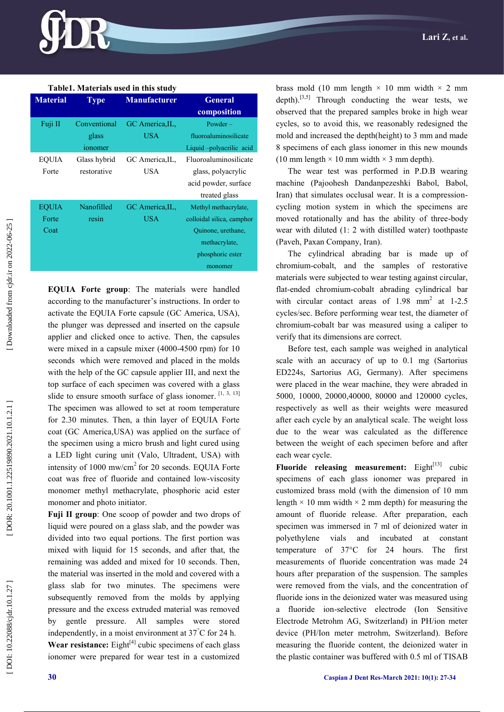| Table1. Materials used in this study |                                          |                               |                                                                                                                         |
|--------------------------------------|------------------------------------------|-------------------------------|-------------------------------------------------------------------------------------------------------------------------|
| <b>Material</b>                      | <b>Type</b>                              | <b>Manufacturer</b>           | <b>General</b><br>composition                                                                                           |
| Fuji II                              | Conventional<br>glass<br><i>s</i> onomer | GC America, IL,<br>USA        | $Power -$<br>fluoroaluminosilicate<br>Liquid-polyacrilic acid                                                           |
| <b>EQUIA</b><br>Forte                | Glass hybrid<br>restorative              | GC America, IL,<br><b>USA</b> | Fluoroaluminosilicate<br>glass, polyacrylic<br>acid powder, surface<br>treated glass                                    |
| <b>EQUIA</b><br>Forte<br>Coat        | Nanofilled<br>resin                      | GC America, IL,<br><b>USA</b> | Methyl methacrylate,<br>colloidal silica, camphor<br>Quinone, urethane,<br>methacrylate,<br>phosphoric ester<br>monomer |

**EQUIA Forte group**: The materials were handled according to the manufacturer's instructions. In order to activate the EQUIA Forte capsule (GC America, USA), the plunger was depressed and inserted on the capsule applier and clicked once to active. Then, the capsules were mixed in a capsule mixer (4000 -4500 rpm) for 10 seconds which were removed and placed in the molds with the help of the GC capsule applier III, and next the top surface of each specimen was covered with a glass slide to ensure smooth surface of glass ionomer.  $[1, 3, 13]$ The specimen was allowed to set at room temperature for 2.30 minutes. Then, a thin layer of EQUIA Forte coat (GC America,USA) was applied on the surface of the specimen using a micro brush and light cured using a LED light curing unit (Valo, Ultradent, USA) with intensity of  $1000$  mw/cm<sup>2</sup> for 20 seconds. EQUIA Forte coat was free of fluoride and contained low -viscosity monomer methyl methacrylate, phosphoric acid ester monomer and photo initiator.

**Fuji II group**: One scoop of powder and two drops of liquid were poured on a glass slab, and the powder was divided into two equal portions. The first portion was mixed with liquid for 15 seconds, and after that, the remaining was added and mixed for 10 seconds. Then, the material was inserted in the mold and covered with a glass slab for two minutes. The specimens were subsequently removed from the molds by applying pressure and the excess extruded material was removed by gentle pressure. All samples were stored independently, in a moist environment at  $37^{\circ}$ C for 24 h. **Wear resistance:** Eight $[4]$  cubic specimens of each glass ionomer were prepared for wear test in a customized

brass mold (10 mm length  $\times$  10 mm width  $\times$  2 mm depth).<sup>[3,5]</sup> Through conducting the wear tests, we observed that the prepared samples broke in high wear cycles, so to avoid this, we reasonably redesigned the mold and increased the depth(height) to 3 mm and made 8 specimens of each glass ionomer in this new mounds (10 mm length  $\times$  10 mm width  $\times$  3 mm depth).

The wear test was performed in P.D.B wearing machine (Pajoohesh Dandanpezeshki Babol, Babol, Iran) that simulates occlusal wear. It is a compressioncycling motion system in which the specimens are moved rotationally and has the ability of three -body wear with diluted (1: 2 with distilled water) toothpaste (Paveh, Paxan Company, Iran).

The cylindrical abrading bar is made up of chromium -cobalt, and the samples of restorative materials were subjected to wear testing against circular, flat -ended chromium -cobalt abrading cylindrical bar with circular contact areas of 1.98 mm<sup>2</sup> at 1-2.5 cycles/sec. Before performing wear test, the diameter of chromium -cobalt bar was measured using a caliper to verify that its dimensions are correct.

Before test, each sample was weighed in analytical scale with an accuracy of up to 0.1 mg (Sartorius ED224s, Sartorius AG, Germany). After specimens were placed in the wear machine, they were abraded in 5000, 10000, 20000,40000, 80000 and 120000 cycles, respectively as well as their weights were measured after each cycle by an analytical scale. The weight loss due to the wear was calculated as the difference between the weight of each specimen before and after each wear cycle.

**Fluoride releasing measurement:** Eight<sup>[13]</sup> cubic specimens of each glass ionomer was prepared in customized brass mold (with the dimension of 10 mm length  $\times$  10 mm width  $\times$  2 mm depth) for measuring the amount of fluoride release. After preparation, each specimen was immersed in 7 ml of deionized water in polyethylene vials and incubated at constant temperature of 37°C for 24 hours. The first measurements of fluoride concentration was made 24 hours after preparation of the suspension. The samples were removed from the vials, and the concentration of fluoride ions in the deionized water was measured using a fluoride ion -selective electrode (Ion Sensitive Electrode Metrohm AG, Switzerland) in PH/ion meter device (PH/Ion meter metrohm, Switzerland). Before measuring the fluoride content, the deionized water in the plastic container was buffered with 0.5 ml of TISAB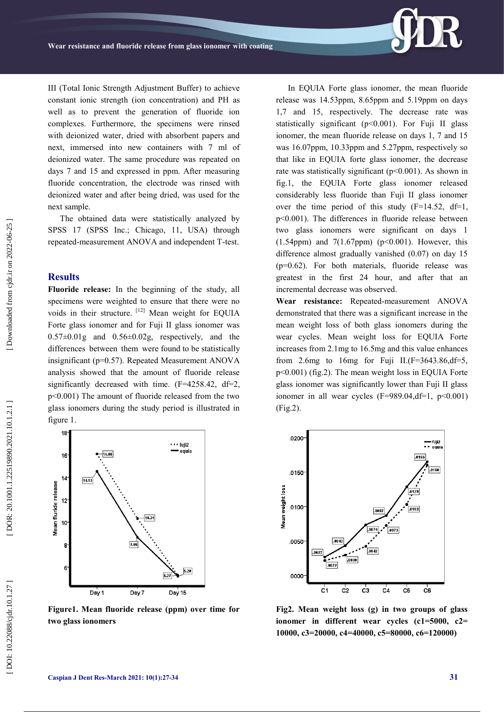III (Total Ionic Strength Adjustment Buffer ) to achieve constant ionic strength (ion concentration) and PH as well as to prevent the generation of fluoride ion complexes. Furthermore, the specimens were rinsed with deionized water, dried with absorbent papers and next, immersed into new containers with 7 ml of deionized water. The same procedure was repeated on days 7 and 15 and expressed in ppm. After measuring fluoride concentration, the electrode was rinsed with deionized water and after being dried, was used for the next sample.

The obtained data were statistically analyzed by SPSS 17 (SPSS Inc.; Chicago, 11, USA) through repeated -measurement ANOVA and independent T -test.

#### **Results**

**Fluoride release:** In the beginning of the study, all specimens were weighted to ensure that there were no voids in their structure. [12] Mean weight for EQUIA Forte glass ionomer and for Fuji II glass ionomer was  $0.57\pm0.01$ g and  $0.56\pm0.02$ g, respectively, and the differences between them wer e found to be statistically insignificant (p=0.57). Repeated Measurement ANOVA analysis showed that the amount of fluoride release significantly decreased with time. (F=4258.42, df=2, p<0.001) The amount of fluoride released from the two glass ionomers during the study period is illustrated in figure 1.



**Figure1. Mean fluoride release (ppm) over time for two glass ionomers**

In EQUIA Forte glass ionomer, the mean fluoride release was 14.53ppm, 8.65ppm and 5.19ppm on days 1,7 and 15, respectively. The decrease rate was statistically significant (p<0.001). For Fuji II glass ionomer, the mean fluoride release on days 1, 7 and 15 was 16.07ppm, 10.33ppm and 5.27ppm, respectively so that like in EQUIA forte glass ionomer, the decrease rate was statistically significant (p<0.001). As shown in fig.1, the EQUIA Forte glass ionomer released considerably less fluoride than Fuji II glass ionomer over the time period of this study  $(F=14.52, df=1$ , p<0.001). The differences in fluoride release between two glass ionomers were significant on days 1  $(1.54$ ppm) and  $7(1.67$ ppm) (p<0.001). However, this difference almost gradually vanished (0.07) on day 15 (p=0.62). For both materials, fluoride release was greatest in the first 24 hour, and after that an incremental decrease was observed.

**Wear resistance:** Repeated -measurement ANOVA demonstrated that there was a significant increase in the mean weight loss of both glass ionomers during the wear cycles. Mean weight loss for EQUIA Forte increases from 2.1mg to 16.5mg and this value enhances from 2.6mg to 16mg for Fuji II.( $F=3643.86$ , d $f=5$ , p<0.001) (fig.2). The mean weight loss in EQUIA Forte glass ionomer was significantly lower than Fuji II glass ionomer in all wear cycles  $(F=989.04, df=1, p<0.001)$ (Fig.2).



**Fig2. Mean weight loss (g) in two groups of glass ionomer in different wear cycles (c1=5000, c2= 10000, c3=20000, c4=40000, c5=80000, c6=120000)**

DOI: 10.22088/cjdr.10.1.27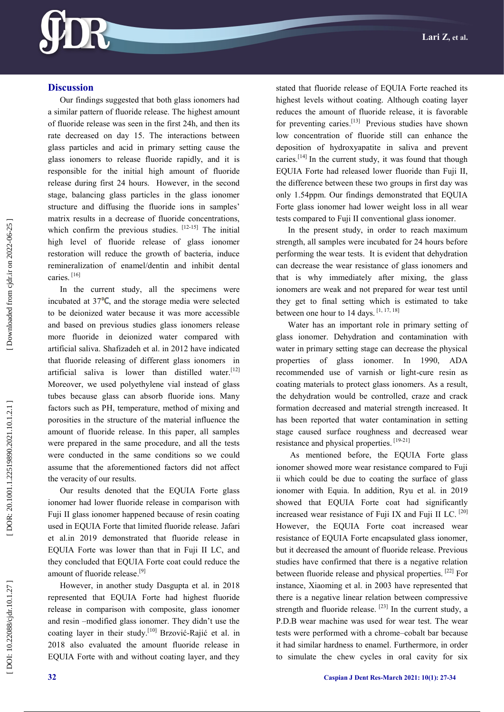

#### **Discussion**

Our findings suggested that both glass ionomers had a similar pattern of fluoride release. The highest amount of fluoride release was seen in the first 24h, and then its rate decreased on day 15. The interactions between glass particles and acid in primary setting cause the glass ionomers to release fluoride rapidly, and it is responsible for the initial high amount of fluoride release during first 24 hours. However, in the second stage, balancing glass particles in the glass ionomer structure and diffusing the fluoride ions in samples' matrix results in a decrease of fluoride concentrations, which confirm the previous studies.  $[12-15]$  The initial high level of fluoride release of glass ionomer restoration will reduce the growth of bacteria, induce remineralization of enamel/dentin and inhibit dental caries.<sup>[16]</sup>

In the current study, all the specimens were incubated at  $37^{\circ}C$ , and the storage media were selected to be deionized water because it was more accessible and based on previous studies glass ionomers release more fluoride in deionized water compared with artificial saliva. Shafizadeh et al. in 2012 have indicated that fluoride releasing of different glass ionomers in artificial saliva is lower than distilled water.<sup>[12]</sup> Moreover, we used polyethylene vial instead of glass tubes because glass can absorb fluoride ions. Many factors such as PH, temperature, method of mixing and porosities in the structure of the material influence the amount of fluoride release. In this paper, all samples were prepared in the same procedure, and all the tests were conducted in the same conditions so we could assume that the aforementioned factors did not affect the veracity of our results.

Our results denoted that the EQUIA Forte glass ionomer had lower fluoride release in comparison with Fuji II glass ionomer happened because of resin coating used in EQUIA Forte that limited fluoride release. Jafari et al.in 2019 demonstrated that fluoride release in EQUIA Forte was lower than that in Fuji II LC, and they concluded that EQUIA Forte coat could reduce the amount of fluoride release.<sup>[9]</sup>

However, in another study Dasgupta et al. in 2018 represented that EQUIA Forte had highest fluoride release in comparison with composite, glass ionomer and resin –modified glass ionomer. They didn't use the coating layer in their study.<sup>[10]</sup> Brzović-Rajić et al. in 2018 also evaluated the amount fluoride release in EQUIA Forte with and without coating layer, and they

stated that fluoride release of EQUIA Forte reached its highest levels without coating. Although coating layer reduces the amount of fluoride release, it is favorable for preventing caries.<sup>[13]</sup> Previous studies have shown low concentration of fluoride still can enhance the deposition of hydroxyapatite in saliva and prevent caries.<sup>[14]</sup> In the current study, it was found that though EQUIA Forte had released lower fluoride than Fuji II, the difference between these two groups in first day was only 1.54ppm. Our findings demonstrated that EQUIA Forte glass ionomer had lower weight loss in all wear tests compared to Fuji II conventional glass ionomer.

In the present study, in order to reach maximum strength, all samples were incubated for 24 hours before performing the wear tests. It is evident that dehydration can decrease the wear resistance of glass ionomers and that is why immediately after mixing, the glass ionomers are weak and not prepared for wear test until they get to final setting which is estimated to take between one hour to 14 days. [1, 17, 18]

Water has an important role in primary setting of glass ionomer. Dehydration and contamination with water in primary setting stage can decrease the physical properties of glass ionomer. In 1990, ADA recommended use of varnish or light -cure resin as coating materials to protect glass ionomers. As a result, the dehydration would be controlled, craze and crack formation decreased and material strength increased. It has been reported that water contamination in setting stage caused surface roughness and decreased wear resistance and physical properties.<sup>[19-21]</sup>

As mentioned before, the EQUIA Forte glass ionomer showed more wear resistance compared to Fuji ii which could be due to coating the surface of glass ionomer with Equia. In addition, Ryu et al. in 2019 showed that EQUIA Forte coat had significantly increased wear resistance of Fuji IX and Fuji II LC. [20] However, the EQUIA Forte coat increased wear resistance of EQUIA Forte encapsulated glass ionomer, but it decreased the amount of fluoride release. Previous studies have confirmed that there is a negative relation between fluoride release and physical properties. [22] For instance, Xiaoming et al. in 2003 have represented that there is a negative linear relation between compressive strength and fluoride release.  $[23]$  In the current study, a P.D.B wear machine was used for wear test. The wear tests were performed with a chrome –cobalt bar because it had similar hardness to enamel. Furthermore, in order to simulate the chew cycles in oral cavity for six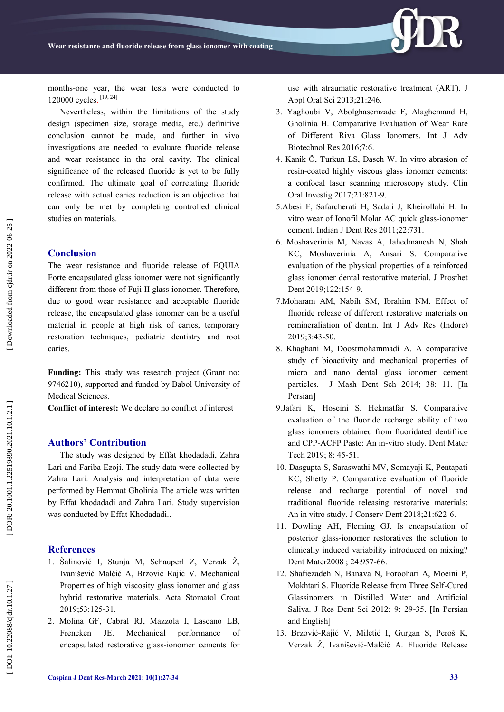

months -one year, the wear tests were conducted to 120000 cycles. [19, 24]

Nevertheless, within the limitations of the study design (specimen size, storage media, etc.) definitive conclusion cannot be made, and further in vivo investigations are needed to evaluate fluoride release and wear resistance in the oral cavity. The clinical significance of the released fluoride is yet to be fully confirmed. The ultimate goal of correlating fluoride release with actual caries reduction is an objective that can only be met by completing controlled clinical studies on materials.

#### **Conclusion**

The wear resistance and fluoride release of EQUIA Forte encapsulated glass ionomer were not significantly different from those of Fuji II glass ionomer. Therefore, due to good wear resistance and acceptable fluoride release, the encapsulated glass ionomer can be a useful material in people at high risk of caries, temporary restoration techniques, pediatric dentistry and root caries .

**Funding:** This study was research project (Grant no: 9746210), supported and funded by Babol University of Medical Sciences.

**Conflict of interest:** We declare no conflict of interest

#### **Authors' Contribution**

The study was designed by Effat khodadadi, Zahra Lari and Fariba Ezoji. The study data were collected by Zahra Lari. Analysis and interpretation of data were performed by Hemmat Gholinia The article was written by Effat khodadadi and Zahra Lari. Study supervision was conducted by Effat Khodadadi. .

#### **References**

- 1. Šalinović I, Stunja M, Schauperl Z, Verzak Ž, Ivanišević Malčić A, Brzović Rajić V. Mechanical Properties of high viscosity glass ionomer and glass hybrid restorative materials. Acta Stomatol Croat 2019;53:125 -31 .
- 2. Molina GF, Cabral RJ, Mazzola I, Lascano LB, Frencken JE. Mechanical performance of encapsulated restorative glass -ionomer cements for

use with atraumatic restorative treatment (ART). J Appl Oral Sci 2013;21:246 .

- 3. Yaghoubi V, Abolghasemzade F, Alaghemand H, Gholinia H. Comparative Evaluation of Wear Rate of Different Riva Glass Ionomers. Int J Adv Biotechnol Res 2016;7:6 .
- 4. Kanik Ö, Turkun LS, Dasch W. In vitro abrasion of resin -coated highly viscous glass ionomer cements: a confocal laser scanning microscopy study. Clin Oral Investig 2017;21:821 -9.
- 5.Abesi F, Safarcherati H, Sadati J, Kheirollahi H. In vitro wear of Ionofil Molar AC quick glass -ionomer cement. Indian J Dent Res 2011;22:731 .
- 6. Moshaverinia M, Navas A, Jahedmanesh N, Shah KC, Moshaverinia A, Ansari S. Comparative evaluation of the physical properties of a reinforced glass ionomer dental restorative material. J Prosthet Dent 2019;122:154 -9.
- 7.Moharam AM, Nabih SM, Ibrahim NM. Effect of fluoride release of different restorative materials on remineraliation of dentin. Int J Adv Res (Indore) 2019;3:43 -50 .
- 8 . Khaghani M, Doostmohammadi A. A comparative study of bioactivity and mechanical properties of micro and nano dental glass ionomer cement particles. J Mash Dent Sch 2014; 38: 11 . [In Persian]
- 9.Jafari K, Hoseini S, Hekmatfar S. Comparative evaluation of the fluoride recharge ability of two glass ionomers obtained from fluoridated dentifrice and CPP -ACFP Paste: An in -vitro study. Dent Mater Tech 2019; 8: 45-51.
- 10 . Dasgupta S, Saraswathi MV, Somayaji K, Pentapati KC, Shetty P. Comparative evaluation of fluoride release and recharge potential of novel and traditional fluoride ‑releasing restorative materials: An in vitro study. J Conserv Dent 2018;21:622 -6.
- 11. Dowling AH, Fleming GJ. Is encapsulation of posterior glass -ionomer restoratives the solution to clinically induced variability introduced on mixing? Dent Mater2008 ; 24:957 -66.
- 12. Shafiezadeh N, Banava N, Foroohari A, Moeini P, Mokhtari S. Fluoride Release from Three Self-Cured Glassinomers in Distilled Water and Artificial Saliva. J Res Dent Sci 2012; 9: 29-35. [In Persian and English]
- 13 . Brzović -Rajić V, Miletić I, Gurgan S, Peroš K, Verzak Ž, Ivanišević-Malčić A. Fluoride Release